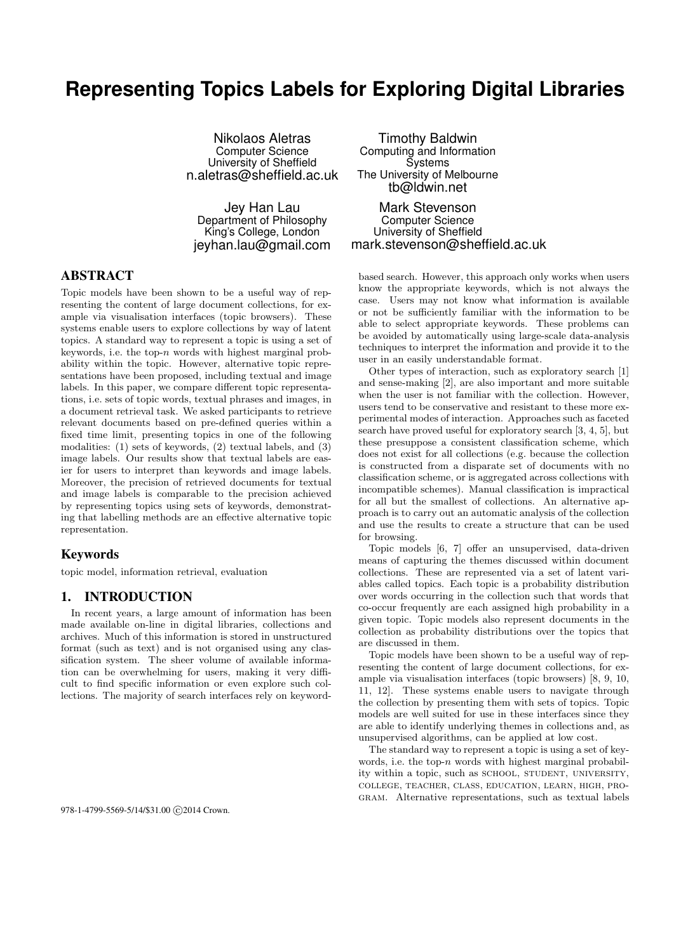# **Representing Topics Labels for Exploring Digital Libraries**

Nikolaos Aletras Computer Science University of Sheffield n.aletras@sheffield.ac.uk

Jey Han Lau Department of Philosophy King's College, London jeyhan.lau@gmail.com

## ABSTRACT

Topic models have been shown to be a useful way of representing the content of large document collections, for example via visualisation interfaces (topic browsers). These systems enable users to explore collections by way of latent topics. A standard way to represent a topic is using a set of keywords, i.e. the top- $n$  words with highest marginal probability within the topic. However, alternative topic representations have been proposed, including textual and image labels. In this paper, we compare different topic representations, i.e. sets of topic words, textual phrases and images, in a document retrieval task. We asked participants to retrieve relevant documents based on pre-defined queries within a fixed time limit, presenting topics in one of the following modalities: (1) sets of keywords, (2) textual labels, and (3) image labels. Our results show that textual labels are easier for users to interpret than keywords and image labels. Moreover, the precision of retrieved documents for textual and image labels is comparable to the precision achieved by representing topics using sets of keywords, demonstrating that labelling methods are an effective alternative topic representation.

#### Keywords

topic model, information retrieval, evaluation

#### 1. INTRODUCTION

In recent years, a large amount of information has been made available on-line in digital libraries, collections and archives. Much of this information is stored in unstructured format (such as text) and is not organised using any classification system. The sheer volume of available information can be overwhelming for users, making it very difficult to find specific information or even explore such collections. The majority of search interfaces rely on keyword-

978-1-4799-5569-5/14/\$31.00 C2014 Crown.

Timothy Baldwin Computing and Information Systems The University of Melbourne tb@ldwin.net

Mark Stevenson Computer Science University of Sheffield mark.stevenson@sheffield.ac.uk

based search. However, this approach only works when users know the appropriate keywords, which is not always the case. Users may not know what information is available or not be sufficiently familiar with the information to be able to select appropriate keywords. These problems can be avoided by automatically using large-scale data-analysis techniques to interpret the information and provide it to the user in an easily understandable format.

Other types of interaction, such as exploratory search [1] and sense-making [2], are also important and more suitable when the user is not familiar with the collection. However, users tend to be conservative and resistant to these more experimental modes of interaction. Approaches such as faceted search have proved useful for exploratory search [3, 4, 5], but these presuppose a consistent classification scheme, which does not exist for all collections (e.g. because the collection is constructed from a disparate set of documents with no classification scheme, or is aggregated across collections with incompatible schemes). Manual classification is impractical for all but the smallest of collections. An alternative approach is to carry out an automatic analysis of the collection and use the results to create a structure that can be used for browsing.

Topic models [6, 7] offer an unsupervised, data-driven means of capturing the themes discussed within document collections. These are represented via a set of latent variables called topics. Each topic is a probability distribution over words occurring in the collection such that words that co-occur frequently are each assigned high probability in a given topic. Topic models also represent documents in the collection as probability distributions over the topics that are discussed in them.

Topic models have been shown to be a useful way of representing the content of large document collections, for example via visualisation interfaces (topic browsers) [8, 9, 10, 11, 12]. These systems enable users to navigate through the collection by presenting them with sets of topics. Topic models are well suited for use in these interfaces since they are able to identify underlying themes in collections and, as unsupervised algorithms, can be applied at low cost.

The standard way to represent a topic is using a set of keywords, i.e. the top- $n$  words with highest marginal probability within a topic, such as SCHOOL, STUDENT, UNIVERSITY, college, teacher, class, education, learn, high, program. Alternative representations, such as textual labels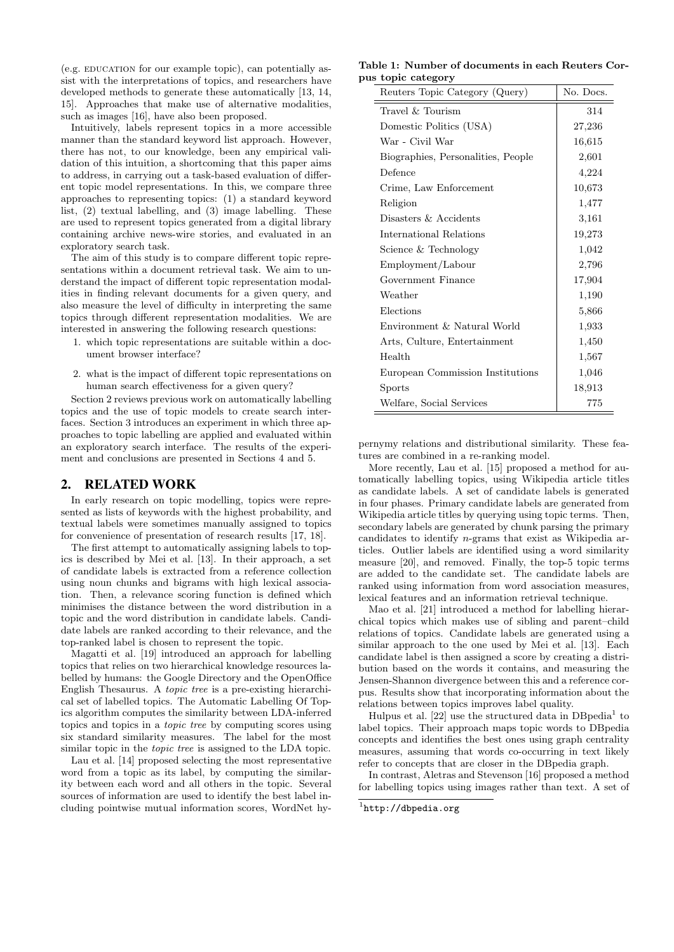(e.g. EDUCATION for our example topic), can potentially assist with the interpretations of topics, and researchers have developed methods to generate these automatically [13, 14, 15]. Approaches that make use of alternative modalities, such as images [16], have also been proposed.

Intuitively, labels represent topics in a more accessible manner than the standard keyword list approach. However, there has not, to our knowledge, been any empirical validation of this intuition, a shortcoming that this paper aims to address, in carrying out a task-based evaluation of different topic model representations. In this, we compare three approaches to representing topics: (1) a standard keyword list, (2) textual labelling, and (3) image labelling. These are used to represent topics generated from a digital library containing archive news-wire stories, and evaluated in an exploratory search task.

The aim of this study is to compare different topic representations within a document retrieval task. We aim to understand the impact of different topic representation modalities in finding relevant documents for a given query, and also measure the level of difficulty in interpreting the same topics through different representation modalities. We are interested in answering the following research questions:

- 1. which topic representations are suitable within a document browser interface?
- 2. what is the impact of different topic representations on human search effectiveness for a given query?

Section 2 reviews previous work on automatically labelling topics and the use of topic models to create search interfaces. Section 3 introduces an experiment in which three approaches to topic labelling are applied and evaluated within an exploratory search interface. The results of the experiment and conclusions are presented in Sections 4 and 5.

## 2. RELATED WORK

In early research on topic modelling, topics were represented as lists of keywords with the highest probability, and textual labels were sometimes manually assigned to topics for convenience of presentation of research results [17, 18].

The first attempt to automatically assigning labels to topics is described by Mei et al. [13]. In their approach, a set of candidate labels is extracted from a reference collection using noun chunks and bigrams with high lexical association. Then, a relevance scoring function is defined which minimises the distance between the word distribution in a topic and the word distribution in candidate labels. Candidate labels are ranked according to their relevance, and the top-ranked label is chosen to represent the topic.

Magatti et al. [19] introduced an approach for labelling topics that relies on two hierarchical knowledge resources labelled by humans: the Google Directory and the OpenOffice English Thesaurus. A topic tree is a pre-existing hierarchical set of labelled topics. The Automatic Labelling Of Topics algorithm computes the similarity between LDA-inferred topics and topics in a topic tree by computing scores using six standard similarity measures. The label for the most similar topic in the *topic tree* is assigned to the LDA topic.

Lau et al. [14] proposed selecting the most representative word from a topic as its label, by computing the similarity between each word and all others in the topic. Several sources of information are used to identify the best label including pointwise mutual information scores, WordNet hy-

Table 1: Number of documents in each Reuters Corpus topic category

| Reuters Topic Category (Query)     | No. Docs. |  |  |
|------------------------------------|-----------|--|--|
| Travel & Tourism                   | 314       |  |  |
| Domestic Politics (USA)            | 27,236    |  |  |
| War - Civil War                    | 16,615    |  |  |
| Biographies, Personalities, People | 2,601     |  |  |
| Defence                            | 4,224     |  |  |
| Crime, Law Enforcement             | 10,673    |  |  |
| Religion                           | 1,477     |  |  |
| Disasters & Accidents              | 3,161     |  |  |
| International Relations            | 19,273    |  |  |
| Science & Technology               | 1,042     |  |  |
| Employment/Labour                  | 2,796     |  |  |
| Government Finance                 | 17,904    |  |  |
| Weather                            | 1,190     |  |  |
| Elections                          | 5,866     |  |  |
| Environment & Natural World        | 1,933     |  |  |
| Arts, Culture, Entertainment       | 1,450     |  |  |
| Health                             | 1,567     |  |  |
| European Commission Institutions   | 1,046     |  |  |
| Sports                             | 18,913    |  |  |
| Welfare, Social Services           | 775       |  |  |

pernymy relations and distributional similarity. These features are combined in a re-ranking model.

More recently, Lau et al. [15] proposed a method for automatically labelling topics, using Wikipedia article titles as candidate labels. A set of candidate labels is generated in four phases. Primary candidate labels are generated from Wikipedia article titles by querying using topic terms. Then, secondary labels are generated by chunk parsing the primary candidates to identify n-grams that exist as Wikipedia articles. Outlier labels are identified using a word similarity measure [20], and removed. Finally, the top-5 topic terms are added to the candidate set. The candidate labels are ranked using information from word association measures, lexical features and an information retrieval technique.

Mao et al. [21] introduced a method for labelling hierarchical topics which makes use of sibling and parent–child relations of topics. Candidate labels are generated using a similar approach to the one used by Mei et al. [13]. Each candidate label is then assigned a score by creating a distribution based on the words it contains, and measuring the Jensen-Shannon divergence between this and a reference corpus. Results show that incorporating information about the relations between topics improves label quality.

Hulpus et al.  $[22]$  use the structured data in DB pedia<sup>1</sup> to label topics. Their approach maps topic words to DBpedia concepts and identifies the best ones using graph centrality measures, assuming that words co-occurring in text likely refer to concepts that are closer in the DBpedia graph.

In contrast, Aletras and Stevenson [16] proposed a method for labelling topics using images rather than text. A set of

 $1$ http://dbpedia.org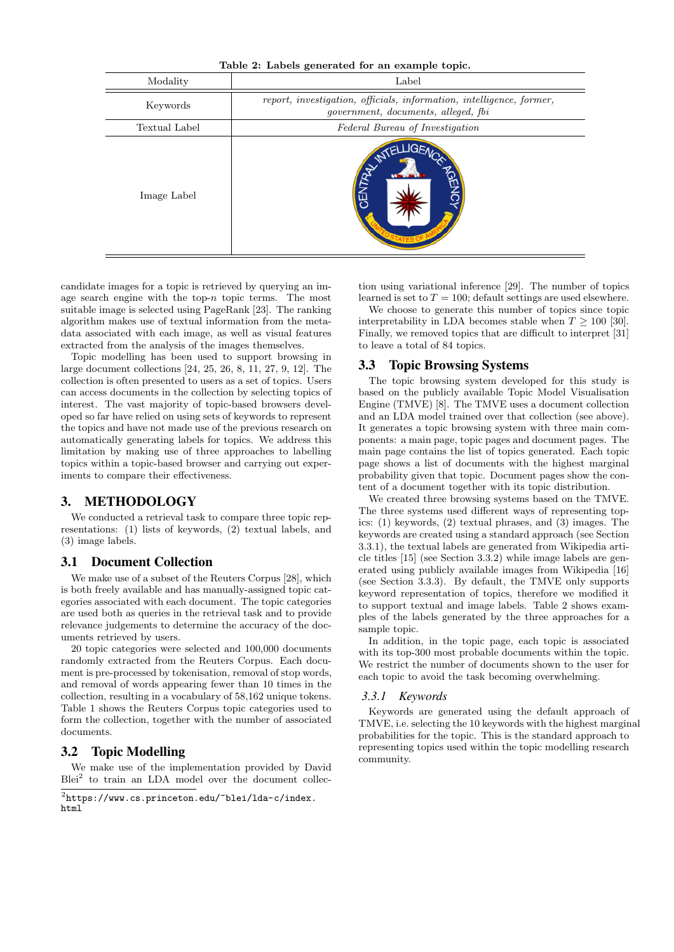Table 2: Labels generated for an example topic. Modality Label Keywords report, investigation, officials, information, intelligence, former, government, documents, alleged, fbi Textual Label Federal Bureau of Investigation LIGEN Image Label

candidate images for a topic is retrieved by querying an image search engine with the top- $n$  topic terms. The most suitable image is selected using PageRank [23]. The ranking algorithm makes use of textual information from the metadata associated with each image, as well as visual features extracted from the analysis of the images themselves.

Topic modelling has been used to support browsing in large document collections [24, 25, 26, 8, 11, 27, 9, 12]. The collection is often presented to users as a set of topics. Users can access documents in the collection by selecting topics of interest. The vast majority of topic-based browsers developed so far have relied on using sets of keywords to represent the topics and have not made use of the previous research on automatically generating labels for topics. We address this limitation by making use of three approaches to labelling topics within a topic-based browser and carrying out experiments to compare their effectiveness.

#### 3. METHODOLOGY

We conducted a retrieval task to compare three topic representations: (1) lists of keywords, (2) textual labels, and (3) image labels.

#### 3.1 Document Collection

We make use of a subset of the Reuters Corpus [28], which is both freely available and has manually-assigned topic categories associated with each document. The topic categories are used both as queries in the retrieval task and to provide relevance judgements to determine the accuracy of the documents retrieved by users.

20 topic categories were selected and 100,000 documents randomly extracted from the Reuters Corpus. Each document is pre-processed by tokenisation, removal of stop words, and removal of words appearing fewer than 10 times in the collection, resulting in a vocabulary of 58,162 unique tokens. Table 1 shows the Reuters Corpus topic categories used to form the collection, together with the number of associated documents.

#### 3.2 Topic Modelling

We make use of the implementation provided by David Blei<sup>2</sup> to train an LDA model over the document collec-

tion using variational inference [29]. The number of topics learned is set to  $T = 100$ ; default settings are used elsewhere.

We choose to generate this number of topics since topic interpretability in LDA becomes stable when  $T \geq 100$  [30]. Finally, we removed topics that are difficult to interpret [31] to leave a total of 84 topics.

#### 3.3 Topic Browsing Systems

The topic browsing system developed for this study is based on the publicly available Topic Model Visualisation Engine (TMVE) [8]. The TMVE uses a document collection and an LDA model trained over that collection (see above). It generates a topic browsing system with three main components: a main page, topic pages and document pages. The main page contains the list of topics generated. Each topic page shows a list of documents with the highest marginal probability given that topic. Document pages show the content of a document together with its topic distribution.

We created three browsing systems based on the TMVE. The three systems used different ways of representing topics: (1) keywords, (2) textual phrases, and (3) images. The keywords are created using a standard approach (see Section 3.3.1), the textual labels are generated from Wikipedia article titles [15] (see Section 3.3.2) while image labels are generated using publicly available images from Wikipedia [16] (see Section 3.3.3). By default, the TMVE only supports keyword representation of topics, therefore we modified it to support textual and image labels. Table 2 shows examples of the labels generated by the three approaches for a sample topic.

In addition, in the topic page, each topic is associated with its top-300 most probable documents within the topic. We restrict the number of documents shown to the user for each topic to avoid the task becoming overwhelming.

#### *3.3.1 Keywords*

Keywords are generated using the default approach of TMVE, i.e. selecting the 10 keywords with the highest marginal probabilities for the topic. This is the standard approach to representing topics used within the topic modelling research community.

 $^{2}$ https://www.cs.princeton.edu/~blei/lda-c/index. html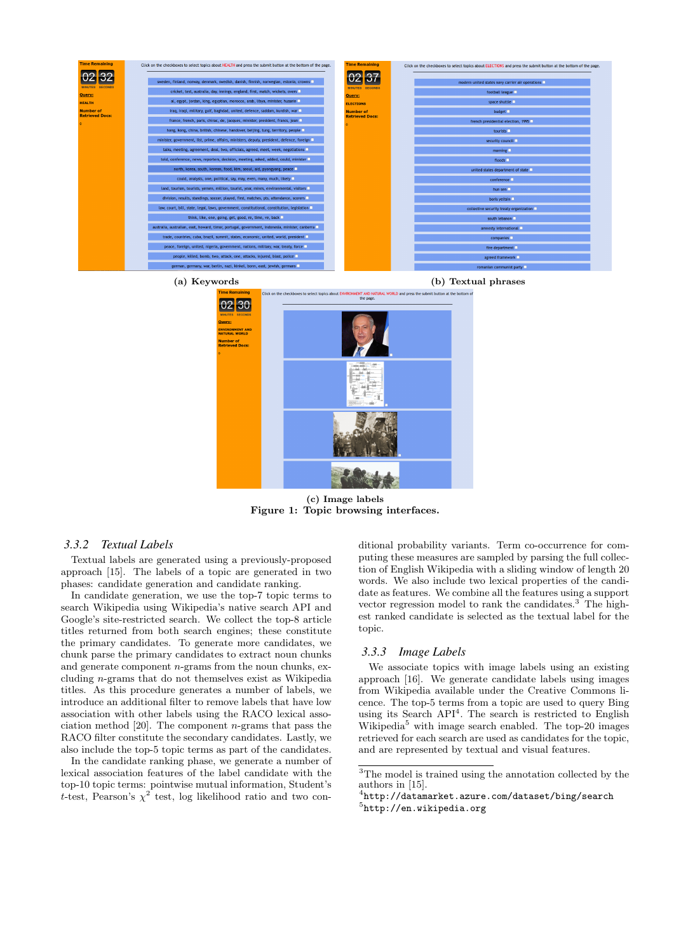



(c) Image labels Figure 1: Topic browsing interfaces.

#### *3.3.2 Textual Labels*

Textual labels are generated using a previously-proposed approach [15]. The labels of a topic are generated in two phases: candidate generation and candidate ranking.

In candidate generation, we use the top-7 topic terms to search Wikipedia using Wikipedia's native search API and Google's site-restricted search. We collect the top-8 article titles returned from both search engines; these constitute the primary candidates. To generate more candidates, we chunk parse the primary candidates to extract noun chunks and generate component  $n$ -grams from the noun chunks, excluding n-grams that do not themselves exist as Wikipedia titles. As this procedure generates a number of labels, we introduce an additional filter to remove labels that have low association with other labels using the RACO lexical association method  $[20]$ . The component *n*-grams that pass the RACO filter constitute the secondary candidates. Lastly, we also include the top-5 topic terms as part of the candidates.

In the candidate ranking phase, we generate a number of lexical association features of the label candidate with the top-10 topic terms: pointwise mutual information, Student's t-test, Pearson's  $\chi^2$  test, log likelihood ratio and two conditional probability variants. Term co-occurrence for computing these measures are sampled by parsing the full collection of English Wikipedia with a sliding window of length 20 words. We also include two lexical properties of the candidate as features. We combine all the features using a support vector regression model to rank the candidates.<sup>3</sup> The highest ranked candidate is selected as the textual label for the topic.

#### *3.3.3 Image Labels*

We associate topics with image labels using an existing approach [16]. We generate candidate labels using images from Wikipedia available under the Creative Commons licence. The top-5 terms from a topic are used to query Bing using its Search API<sup>4</sup>. The search is restricted to English Wikipedia<sup>5</sup> with image search enabled. The top-20 images retrieved for each search are used as candidates for the topic, and are represented by textual and visual features.

<sup>&</sup>lt;sup>3</sup>The model is trained using the annotation collected by the authors in [15].

<sup>4</sup> http://datamarket.azure.com/dataset/bing/search 5 http://en.wikipedia.org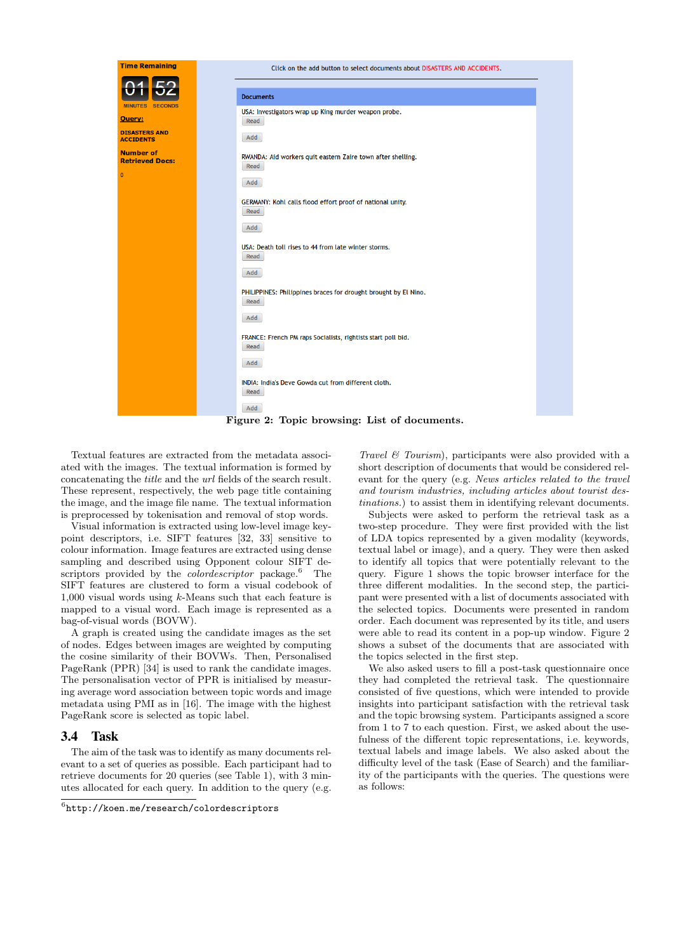

Figure 2: Topic browsing: List of documents.

Textual features are extracted from the metadata associated with the images. The textual information is formed by concatenating the title and the url fields of the search result. These represent, respectively, the web page title containing the image, and the image file name. The textual information is preprocessed by tokenisation and removal of stop words.

Visual information is extracted using low-level image keypoint descriptors, i.e. SIFT features [32, 33] sensitive to colour information. Image features are extracted using dense sampling and described using Opponent colour SIFT descriptors provided by the *colordescriptor* package.<sup>6</sup> The SIFT features are clustered to form a visual codebook of 1,000 visual words using k-Means such that each feature is mapped to a visual word. Each image is represented as a bag-of-visual words (BOVW).

A graph is created using the candidate images as the set of nodes. Edges between images are weighted by computing the cosine similarity of their BOVWs. Then, Personalised PageRank (PPR) [34] is used to rank the candidate images. The personalisation vector of PPR is initialised by measuring average word association between topic words and image metadata using PMI as in [16]. The image with the highest PageRank score is selected as topic label.

#### 3.4 Task

The aim of the task was to identify as many documents relevant to a set of queries as possible. Each participant had to retrieve documents for 20 queries (see Table 1), with 3 minutes allocated for each query. In addition to the query (e.g.

Travel & Tourism), participants were also provided with a short description of documents that would be considered relevant for the query (e.g. News articles related to the travel and tourism industries, including articles about tourist destinations.) to assist them in identifying relevant documents.

Subjects were asked to perform the retrieval task as a two-step procedure. They were first provided with the list of LDA topics represented by a given modality (keywords, textual label or image), and a query. They were then asked to identify all topics that were potentially relevant to the query. Figure 1 shows the topic browser interface for the three different modalities. In the second step, the participant were presented with a list of documents associated with the selected topics. Documents were presented in random order. Each document was represented by its title, and users were able to read its content in a pop-up window. Figure 2 shows a subset of the documents that are associated with the topics selected in the first step.

We also asked users to fill a post-task questionnaire once they had completed the retrieval task. The questionnaire consisted of five questions, which were intended to provide insights into participant satisfaction with the retrieval task and the topic browsing system. Participants assigned a score from 1 to 7 to each question. First, we asked about the usefulness of the different topic representations, i.e. keywords, textual labels and image labels. We also asked about the difficulty level of the task (Ease of Search) and the familiarity of the participants with the queries. The questions were as follows:

 $^6$ http://koen.me/research/colordescriptors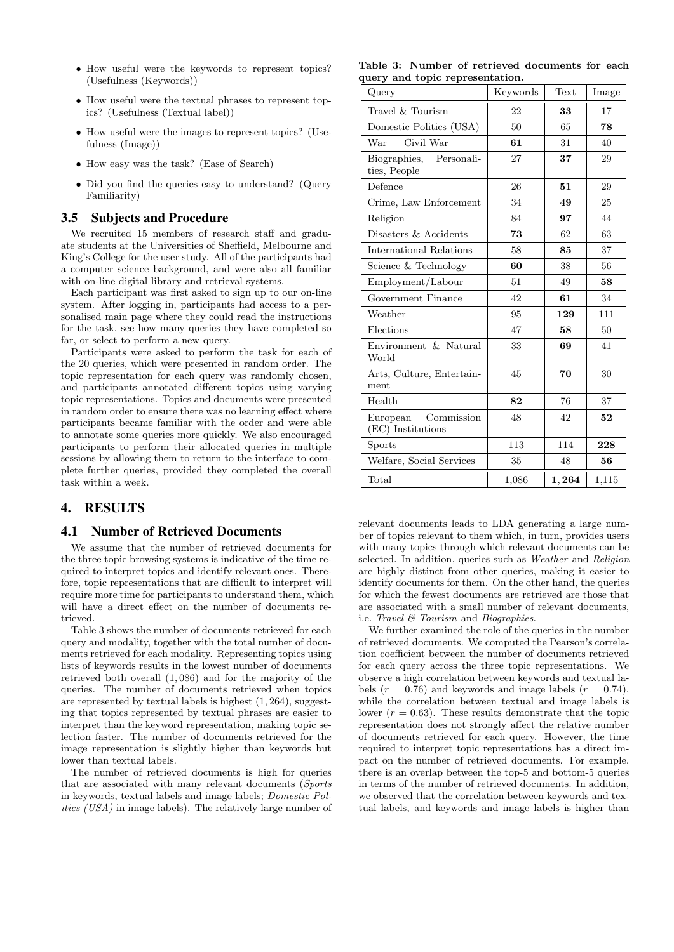- How useful were the keywords to represent topics? (Usefulness (Keywords))
- How useful were the textual phrases to represent topics? (Usefulness (Textual label))
- How useful were the images to represent topics? (Usefulness (Image))
- How easy was the task? (Ease of Search)
- Did you find the queries easy to understand? (Query Familiarity)

#### 3.5 Subjects and Procedure

We recruited 15 members of research staff and graduate students at the Universities of Sheffield, Melbourne and King's College for the user study. All of the participants had a computer science background, and were also all familiar with on-line digital library and retrieval systems.

Each participant was first asked to sign up to our on-line system. After logging in, participants had access to a personalised main page where they could read the instructions for the task, see how many queries they have completed so far, or select to perform a new query.

Participants were asked to perform the task for each of the 20 queries, which were presented in random order. The topic representation for each query was randomly chosen, and participants annotated different topics using varying topic representations. Topics and documents were presented in random order to ensure there was no learning effect where participants became familiar with the order and were able to annotate some queries more quickly. We also encouraged participants to perform their allocated queries in multiple sessions by allowing them to return to the interface to complete further queries, provided they completed the overall task within a week.

# 4. RESULTS

#### 4.1 Number of Retrieved Documents

We assume that the number of retrieved documents for the three topic browsing systems is indicative of the time required to interpret topics and identify relevant ones. Therefore, topic representations that are difficult to interpret will require more time for participants to understand them, which will have a direct effect on the number of documents retrieved.

Table 3 shows the number of documents retrieved for each query and modality, together with the total number of documents retrieved for each modality. Representing topics using lists of keywords results in the lowest number of documents retrieved both overall (1, 086) and for the majority of the queries. The number of documents retrieved when topics are represented by textual labels is highest (1, 264), suggesting that topics represented by textual phrases are easier to interpret than the keyword representation, making topic selection faster. The number of documents retrieved for the image representation is slightly higher than keywords but lower than textual labels.

The number of retrieved documents is high for queries that are associated with many relevant documents (Sports in keywords, textual labels and image labels; Domestic Politics (USA) in image labels). The relatively large number of

Table 3: Number of retrieved documents for each query and topic representation.

| Query                                       | Keywords | Text  | Image |  |
|---------------------------------------------|----------|-------|-------|--|
| Travel & Tourism                            | 22<br>33 |       | 17    |  |
| Domestic Politics (USA)                     | 50       | 65    | 78    |  |
| $War - Civil War$                           | 61       | 31    | 40    |  |
| Biographies,<br>Personali-<br>ties, People  | 27       | 37    | 29    |  |
| Defence                                     | 26       | 51    | 29    |  |
| Crime, Law Enforcement                      | 34       | 49    | 25    |  |
| Religion                                    | 84       | 97    | 44    |  |
| Disasters & Accidents                       | 73       | 62    | 63    |  |
| International Relations                     | 58       | 85    | 37    |  |
| Science & Technology                        | 60       | 38    | 56    |  |
| Employment/Labour                           | 51       | 49    | 58    |  |
| Government Finance                          | 42       | 61    | 34    |  |
| Weather                                     | 95       | 129   | 111   |  |
| Elections                                   | 47       | 58    | 50    |  |
| Environment & Natural<br>World              | 33       | 69    | 41    |  |
| Arts, Culture, Entertain-<br>ment           | 45       | 70    | 30    |  |
| Health                                      | 82       | 76    | 37    |  |
| Commission<br>European<br>(EC) Institutions | 48       | 42    | 52    |  |
| <b>Sports</b>                               | 113      | 114   | 228   |  |
| Welfare, Social Services                    | 35       | 48    | 56    |  |
| Total                                       | 1,086    | 1,264 | 1,115 |  |

relevant documents leads to LDA generating a large number of topics relevant to them which, in turn, provides users with many topics through which relevant documents can be selected. In addition, queries such as Weather and Religion are highly distinct from other queries, making it easier to identify documents for them. On the other hand, the queries for which the fewest documents are retrieved are those that are associated with a small number of relevant documents, i.e. Travel & Tourism and Biographies.

We further examined the role of the queries in the number of retrieved documents. We computed the Pearson's correlation coefficient between the number of documents retrieved for each query across the three topic representations. We observe a high correlation between keywords and textual labels  $(r = 0.76)$  and keywords and image labels  $(r = 0.74)$ . while the correlation between textual and image labels is lower  $(r = 0.63)$ . These results demonstrate that the topic representation does not strongly affect the relative number of documents retrieved for each query. However, the time required to interpret topic representations has a direct impact on the number of retrieved documents. For example, there is an overlap between the top-5 and bottom-5 queries in terms of the number of retrieved documents. In addition, we observed that the correlation between keywords and textual labels, and keywords and image labels is higher than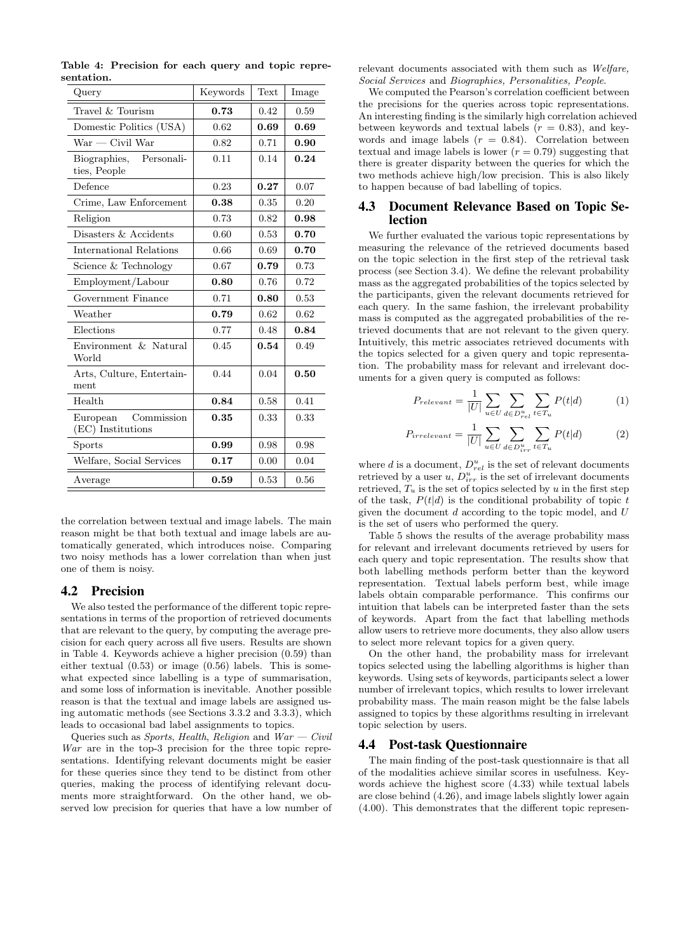| Query                                       | Keywords | Text | Image |  |
|---------------------------------------------|----------|------|-------|--|
| Travel & Tourism                            | 0.73     | 0.42 | 0.59  |  |
| Domestic Politics (USA)                     | 0.62     | 0.69 | 0.69  |  |
| $War - Civil War$                           | 0.82     | 0.71 | 0.90  |  |
| Biographies,<br>Personali-<br>ties, People  | 0.11     | 0.14 | 0.24  |  |
| Defence                                     | 0.23     | 0.27 | 0.07  |  |
| Crime, Law Enforcement                      | 0.38     | 0.35 | 0.20  |  |
| Religion                                    | 0.73     | 0.82 | 0.98  |  |
| Disasters & Accidents                       | 0.60     | 0.53 | 0.70  |  |
| International Relations                     | 0.66     | 0.69 | 0.70  |  |
| Science & Technology                        | 0.67     | 0.79 | 0.73  |  |
| Employment/Labour                           | 0.80     | 0.76 | 0.72  |  |
| Government Finance                          | 0.71     | 0.80 | 0.53  |  |
| Weather                                     | 0.79     | 0.62 | 0.62  |  |
| Elections                                   | 0.77     | 0.48 | 0.84  |  |
| Environment & Natural<br>World              | 0.45     | 0.54 | 0.49  |  |
| Arts, Culture, Entertain-<br>ment           | 0.44     | 0.04 | 0.50  |  |
| Health                                      | 0.84     | 0.58 | 0.41  |  |
| Commission<br>European<br>(EC) Institutions | 0.35     | 0.33 | 0.33  |  |
| <b>Sports</b>                               | 0.99     | 0.98 | 0.98  |  |
| Welfare, Social Services                    | 0.17     | 0.00 | 0.04  |  |
| Average                                     | 0.59     | 0.53 | 0.56  |  |

Table 4: Precision for each query and topic representation.

the correlation between textual and image labels. The main reason might be that both textual and image labels are automatically generated, which introduces noise. Comparing two noisy methods has a lower correlation than when just one of them is noisy.

#### 4.2 Precision

We also tested the performance of the different topic representations in terms of the proportion of retrieved documents that are relevant to the query, by computing the average precision for each query across all five users. Results are shown in Table 4. Keywords achieve a higher precision (0.59) than either textual (0.53) or image (0.56) labels. This is somewhat expected since labelling is a type of summarisation, and some loss of information is inevitable. Another possible reason is that the textual and image labels are assigned using automatic methods (see Sections 3.3.2 and 3.3.3), which leads to occasional bad label assignments to topics.

Queries such as Sports, Health, Religion and  $War - Civil$ War are in the top-3 precision for the three topic representations. Identifying relevant documents might be easier for these queries since they tend to be distinct from other queries, making the process of identifying relevant documents more straightforward. On the other hand, we observed low precision for queries that have a low number of relevant documents associated with them such as Welfare, Social Services and Biographies, Personalities, People.

We computed the Pearson's correlation coefficient between the precisions for the queries across topic representations. An interesting finding is the similarly high correlation achieved between keywords and textual labels  $(r = 0.83)$ , and keywords and image labels  $(r = 0.84)$ . Correlation between textual and image labels is lower  $(r = 0.79)$  suggesting that there is greater disparity between the queries for which the two methods achieve high/low precision. This is also likely to happen because of bad labelling of topics.

## 4.3 Document Relevance Based on Topic Selection

We further evaluated the various topic representations by measuring the relevance of the retrieved documents based on the topic selection in the first step of the retrieval task process (see Section 3.4). We define the relevant probability mass as the aggregated probabilities of the topics selected by the participants, given the relevant documents retrieved for each query. In the same fashion, the irrelevant probability mass is computed as the aggregated probabilities of the retrieved documents that are not relevant to the given query. Intuitively, this metric associates retrieved documents with the topics selected for a given query and topic representation. The probability mass for relevant and irrelevant documents for a given query is computed as follows:

$$
P_{relevant} = \frac{1}{|U|} \sum_{u \in U} \sum_{d \in D_{rel}^u} \sum_{t \in T_u} P(t|d)
$$
 (1)

$$
P_{irrelevant} = \frac{1}{|U|} \sum_{u \in U} \sum_{d \in D_{irr}^u} \sum_{t \in T_u} P(t|d)
$$
 (2)

where d is a document,  $D_{rel}^u$  is the set of relevant documents retrieved by a user u,  $D_{irr}^u$  is the set of irrelevant documents retrieved,  $T_u$  is the set of topics selected by u in the first step of the task,  $P(t|d)$  is the conditional probability of topic t given the document  $d$  according to the topic model, and  $U$ is the set of users who performed the query.

Table 5 shows the results of the average probability mass for relevant and irrelevant documents retrieved by users for each query and topic representation. The results show that both labelling methods perform better than the keyword representation. Textual labels perform best, while image labels obtain comparable performance. This confirms our intuition that labels can be interpreted faster than the sets of keywords. Apart from the fact that labelling methods allow users to retrieve more documents, they also allow users to select more relevant topics for a given query.

On the other hand, the probability mass for irrelevant topics selected using the labelling algorithms is higher than keywords. Using sets of keywords, participants select a lower number of irrelevant topics, which results to lower irrelevant probability mass. The main reason might be the false labels assigned to topics by these algorithms resulting in irrelevant topic selection by users.

#### 4.4 Post-task Questionnaire

The main finding of the post-task questionnaire is that all of the modalities achieve similar scores in usefulness. Keywords achieve the highest score (4.33) while textual labels are close behind (4.26), and image labels slightly lower again (4.00). This demonstrates that the different topic represen-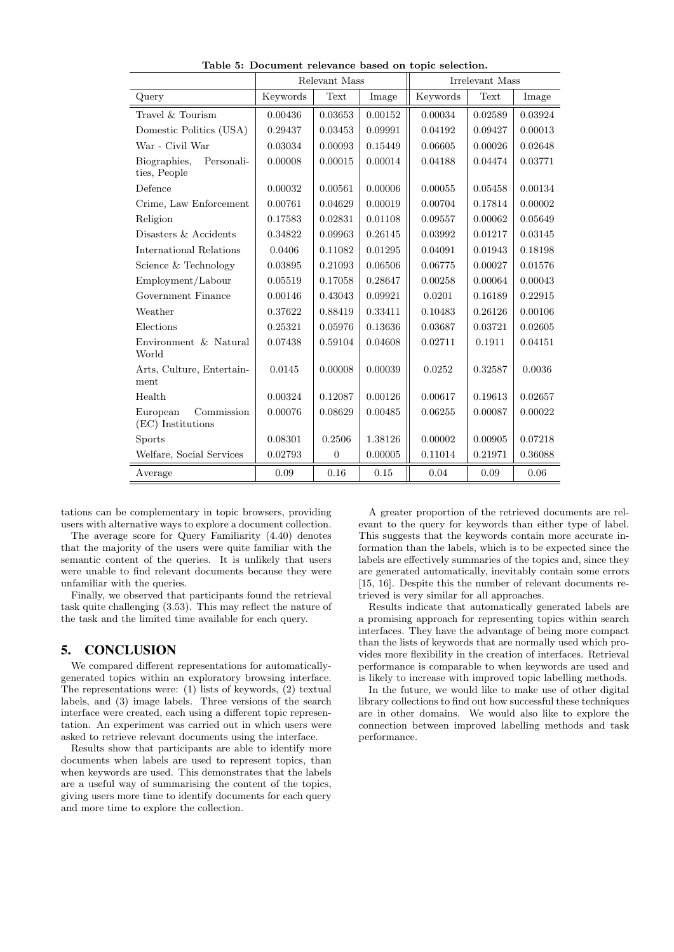|                                             | Relevant Mass |                |         | Irrelevant Mass |         |         |
|---------------------------------------------|---------------|----------------|---------|-----------------|---------|---------|
| Query                                       | Keywords      | Text           | Image   | Keywords        | Text    | Image   |
| Travel & Tourism                            | 0.00436       | 0.03653        | 0.00152 | 0.00034         | 0.02589 | 0.03924 |
| Domestic Politics (USA)                     | 0.29437       | 0.03453        | 0.09991 | 0.04192         | 0.09427 | 0.00013 |
| War - Civil War                             | 0.03034       | 0.00093        | 0.15449 | 0.06605         | 0.00026 | 0.02648 |
| Biographies,<br>Personali-<br>ties, People  | 0.00008       | 0.00015        | 0.00014 | 0.04188         | 0.04474 | 0.03771 |
| Defence                                     | 0.00032       | 0.00561        | 0.00006 | 0.00055         | 0.05458 | 0.00134 |
| Crime, Law Enforcement                      | 0.00761       | 0.04629        | 0.00019 | 0.00704         | 0.17814 | 0.00002 |
| Religion                                    | 0.17583       | 0.02831        | 0.01108 | 0.09557         | 0.00062 | 0.05649 |
| Disasters & Accidents                       | 0.34822       | 0.09963        | 0.26145 | 0.03992         | 0.01217 | 0.03145 |
| International Relations                     | 0.0406        | 0.11082        | 0.01295 | 0.04091         | 0.01943 | 0.18198 |
| Science & Technology                        | 0.03895       | 0.21093        | 0.06506 | 0.06775         | 0.00027 | 0.01576 |
| Employment/Labour                           | 0.05519       | 0.17058        | 0.28647 | 0.00258         | 0.00064 | 0.00043 |
| Government Finance                          | 0.00146       | 0.43043        | 0.09921 | 0.0201          | 0.16189 | 0.22915 |
| Weather                                     | 0.37622       | 0.88419        | 0.33411 | 0.10483         | 0.26126 | 0.00106 |
| Elections                                   | 0.25321       | 0.05976        | 0.13636 | 0.03687         | 0.03721 | 0.02605 |
| Environment & Natural<br>World              | 0.07438       | 0.59104        | 0.04608 | 0.02711         | 0.1911  | 0.04151 |
| Arts, Culture, Entertain-<br>ment           | 0.0145        | 0.00008        | 0.00039 | 0.0252          | 0.32587 | 0.0036  |
| Health                                      | 0.00324       | 0.12087        | 0.00126 | 0.00617         | 0.19613 | 0.02657 |
| Commission<br>European<br>(EC) Institutions | 0.00076       | 0.08629        | 0.00485 | 0.06255         | 0.00087 | 0.00022 |
| <b>Sports</b>                               | 0.08301       | 0.2506         | 1.38126 | 0.00002         | 0.00905 | 0.07218 |
| Welfare, Social Services                    | 0.02793       | $\overline{0}$ | 0.00005 | 0.11014         | 0.21971 | 0.36088 |
| Average                                     | 0.09          | 0.16           | 0.15    | 0.04            | 0.09    | 0.06    |

Table 5: Document relevance based on topic selection.

tations can be complementary in topic browsers, providing users with alternative ways to explore a document collection.

The average score for Query Familiarity (4.40) denotes that the majority of the users were quite familiar with the semantic content of the queries. It is unlikely that users were unable to find relevant documents because they were unfamiliar with the queries.

Finally, we observed that participants found the retrieval task quite challenging (3.53). This may reflect the nature of the task and the limited time available for each query.

## 5. CONCLUSION

We compared different representations for automaticallygenerated topics within an exploratory browsing interface. The representations were: (1) lists of keywords, (2) textual labels, and (3) image labels. Three versions of the search interface were created, each using a different topic representation. An experiment was carried out in which users were asked to retrieve relevant documents using the interface.

Results show that participants are able to identify more documents when labels are used to represent topics, than when keywords are used. This demonstrates that the labels are a useful way of summarising the content of the topics, giving users more time to identify documents for each query and more time to explore the collection.

A greater proportion of the retrieved documents are relevant to the query for keywords than either type of label. This suggests that the keywords contain more accurate information than the labels, which is to be expected since the labels are effectively summaries of the topics and, since they are generated automatically, inevitably contain some errors [15, 16]. Despite this the number of relevant documents retrieved is very similar for all approaches.

Results indicate that automatically generated labels are a promising approach for representing topics within search interfaces. They have the advantage of being more compact than the lists of keywords that are normally used which provides more flexibility in the creation of interfaces. Retrieval performance is comparable to when keywords are used and is likely to increase with improved topic labelling methods.

In the future, we would like to make use of other digital library collections to find out how successful these techniques are in other domains. We would also like to explore the connection between improved labelling methods and task performance.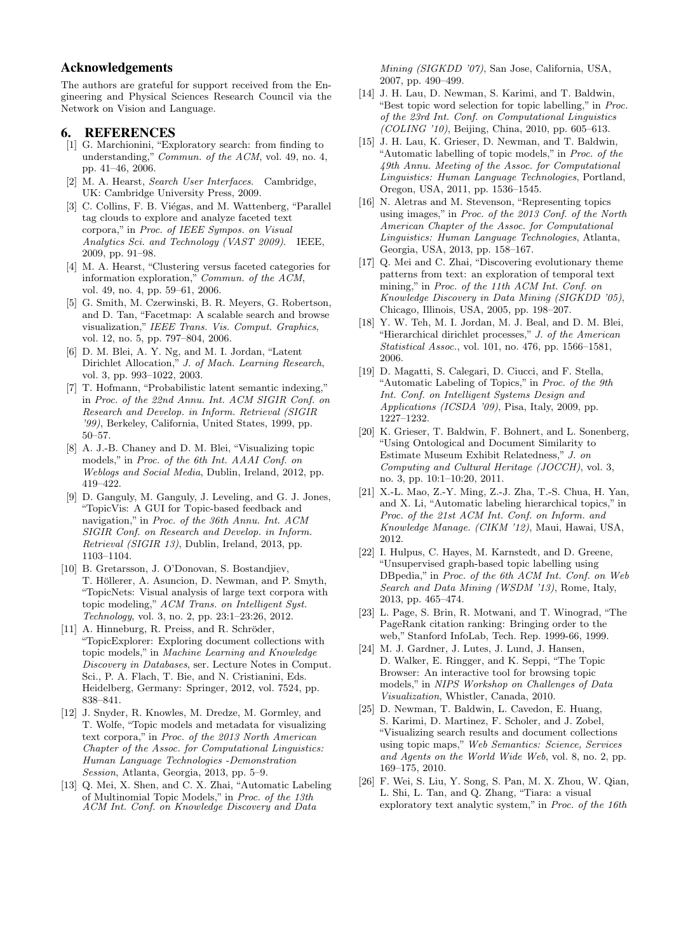# Acknowledgements

The authors are grateful for support received from the Engineering and Physical Sciences Research Council via the Network on Vision and Language.

#### 6. REFERENCES

- [1] G. Marchionini, "Exploratory search: from finding to understanding," Commun. of the ACM, vol. 49, no. 4, pp. 41–46, 2006.
- [2] M. A. Hearst, Search User Interfaces. Cambridge, UK: Cambridge University Press, 2009.
- [3] C. Collins, F. B. Viégas, and M. Wattenberg, "Parallel tag clouds to explore and analyze faceted text corpora," in Proc. of IEEE Sympos. on Visual Analytics Sci. and Technology (VAST 2009). IEEE, 2009, pp. 91–98.
- [4] M. A. Hearst, "Clustering versus faceted categories for information exploration," Commun. of the ACM, vol. 49, no. 4, pp. 59–61, 2006.
- [5] G. Smith, M. Czerwinski, B. R. Meyers, G. Robertson, and D. Tan, "Facetmap: A scalable search and browse visualization," IEEE Trans. Vis. Comput. Graphics, vol. 12, no. 5, pp. 797–804, 2006.
- [6] D. M. Blei, A. Y. Ng, and M. I. Jordan, "Latent Dirichlet Allocation," J. of Mach. Learning Research, vol. 3, pp. 993–1022, 2003.
- [7] T. Hofmann, "Probabilistic latent semantic indexing," in Proc. of the 22nd Annu. Int. ACM SIGIR Conf. on Research and Develop. in Inform. Retrieval (SIGIR '99), Berkeley, California, United States, 1999, pp. 50–57.
- [8] A. J.-B. Chaney and D. M. Blei, "Visualizing topic models," in Proc. of the 6th Int. AAAI Conf. on Weblogs and Social Media, Dublin, Ireland, 2012, pp. 419–422.
- [9] D. Ganguly, M. Ganguly, J. Leveling, and G. J. Jones, "TopicVis: A GUI for Topic-based feedback and navigation," in Proc. of the 36th Annu. Int. ACM SIGIR Conf. on Research and Develop. in Inform. Retrieval (SIGIR 13), Dublin, Ireland, 2013, pp. 1103–1104.
- [10] B. Gretarsson, J. O'Donovan, S. Bostandjiev, T. Höllerer, A. Asuncion, D. Newman, and P. Smyth, "TopicNets: Visual analysis of large text corpora with topic modeling," ACM Trans. on Intelligent Syst. Technology, vol. 3, no. 2, pp. 23:1–23:26, 2012.
- [11] A. Hinneburg, R. Preiss, and R. Schröder, "TopicExplorer: Exploring document collections with topic models," in Machine Learning and Knowledge Discovery in Databases, ser. Lecture Notes in Comput. Sci., P. A. Flach, T. Bie, and N. Cristianini, Eds. Heidelberg, Germany: Springer, 2012, vol. 7524, pp. 838–841.
- [12] J. Snyder, R. Knowles, M. Dredze, M. Gormley, and T. Wolfe, "Topic models and metadata for visualizing text corpora," in Proc. of the 2013 North American Chapter of the Assoc. for Computational Linguistics: Human Language Technologies -Demonstration Session, Atlanta, Georgia, 2013, pp. 5–9.
- [13] Q. Mei, X. Shen, and C. X. Zhai, "Automatic Labeling of Multinomial Topic Models," in Proc. of the 13th ACM Int. Conf. on Knowledge Discovery and Data

Mining (SIGKDD '07), San Jose, California, USA, 2007, pp. 490–499.

- [14] J. H. Lau, D. Newman, S. Karimi, and T. Baldwin, "Best topic word selection for topic labelling," in Proc. of the 23rd Int. Conf. on Computational Linguistics (COLING '10), Beijing, China, 2010, pp. 605–613.
- [15] J. H. Lau, K. Grieser, D. Newman, and T. Baldwin, "Automatic labelling of topic models," in Proc. of the 49th Annu. Meeting of the Assoc. for Computational Linguistics: Human Language Technologies, Portland, Oregon, USA, 2011, pp. 1536–1545.
- [16] N. Aletras and M. Stevenson, "Representing topics using images," in Proc. of the 2013 Conf. of the North American Chapter of the Assoc. for Computational Linguistics: Human Language Technologies, Atlanta, Georgia, USA, 2013, pp. 158–167.
- [17] Q. Mei and C. Zhai, "Discovering evolutionary theme patterns from text: an exploration of temporal text mining," in Proc. of the 11th ACM Int. Conf. on Knowledge Discovery in Data Mining (SIGKDD '05), Chicago, Illinois, USA, 2005, pp. 198–207.
- [18] Y. W. Teh, M. I. Jordan, M. J. Beal, and D. M. Blei, "Hierarchical dirichlet processes," J. of the American Statistical Assoc., vol. 101, no. 476, pp. 1566–1581, 2006.
- [19] D. Magatti, S. Calegari, D. Ciucci, and F. Stella, "Automatic Labeling of Topics," in Proc. of the 9th Int. Conf. on Intelligent Systems Design and Applications (ICSDA '09), Pisa, Italy, 2009, pp. 1227–1232.
- [20] K. Grieser, T. Baldwin, F. Bohnert, and L. Sonenberg, "Using Ontological and Document Similarity to Estimate Museum Exhibit Relatedness," J. on Computing and Cultural Heritage (JOCCH), vol. 3, no. 3, pp. 10:1–10:20, 2011.
- [21] X.-L. Mao, Z.-Y. Ming, Z.-J. Zha, T.-S. Chua, H. Yan, and X. Li, "Automatic labeling hierarchical topics," in Proc. of the 21st ACM Int. Conf. on Inform. and Knowledge Manage. (CIKM '12), Maui, Hawai, USA, 2012.
- [22] I. Hulpus, C. Hayes, M. Karnstedt, and D. Greene, "Unsupervised graph-based topic labelling using DBpedia," in Proc. of the 6th ACM Int. Conf. on Web Search and Data Mining (WSDM '13), Rome, Italy, 2013, pp. 465–474.
- [23] L. Page, S. Brin, R. Motwani, and T. Winograd, "The PageRank citation ranking: Bringing order to the web," Stanford InfoLab, Tech. Rep. 1999-66, 1999.
- [24] M. J. Gardner, J. Lutes, J. Lund, J. Hansen, D. Walker, E. Ringger, and K. Seppi, "The Topic Browser: An interactive tool for browsing topic models," in NIPS Workshop on Challenges of Data Visualization, Whistler, Canada, 2010.
- [25] D. Newman, T. Baldwin, L. Cavedon, E. Huang, S. Karimi, D. Martinez, F. Scholer, and J. Zobel, "Visualizing search results and document collections using topic maps," Web Semantics: Science, Services and Agents on the World Wide Web, vol. 8, no. 2, pp. 169–175, 2010.
- [26] F. Wei, S. Liu, Y. Song, S. Pan, M. X. Zhou, W. Qian, L. Shi, L. Tan, and Q. Zhang, "Tiara: a visual exploratory text analytic system," in Proc. of the 16th